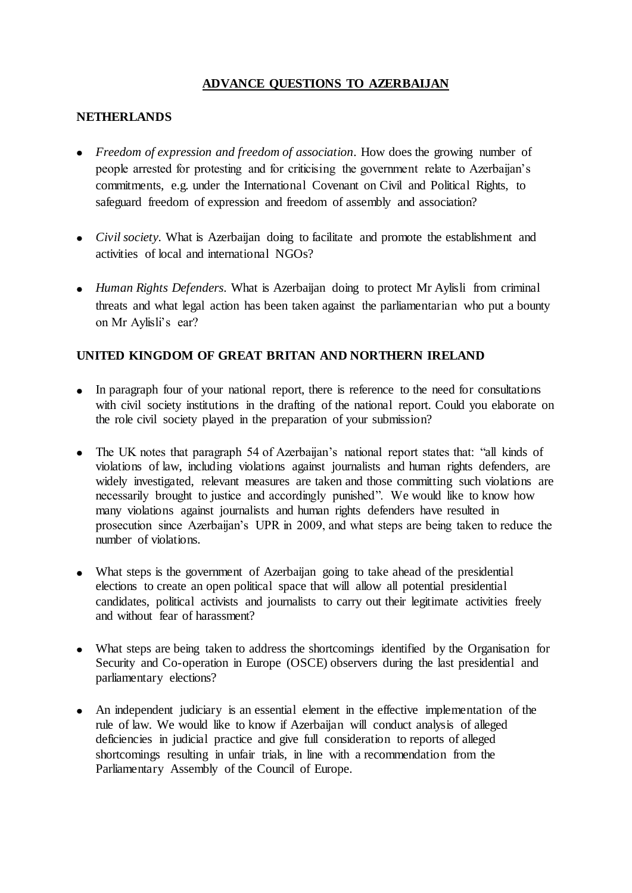# **ADVANCE QUESTIONS TO AZERBAIJAN**

#### **NETHERLANDS**

- Freedom of expression and freedom of association. How does the growing number of people arrested for protesting and for criticising the government relate to Azerbaijan's commitments, e.g. under the International Covenant on Civil and Political Rights, to safeguard freedom of expression and freedom of assembly and association?
- *Civil society*. What is Azerbaijan doing to facilitate and promote the establishment and activities of local and international NGOs?
- *Human Rights Defenders.* What is Azerbaijan doing to protect Mr Aylisli from criminal threats and what legal action has been taken against the parliamentarian who put a bounty on Mr Aylisli's ear?

## **UNITED KINGDOM OF GREAT BRITAN AND NORTHERN IRELAND**

- In paragraph four of your national report, there is reference to the need for consultations with civil society institutions in the drafting of the national report. Could you elaborate on the role civil society played in the preparation of your submission?
- The UK notes that paragraph 54 of Azerbaijan's national report states that: "all kinds of violations of law, including violations against journalists and human rights defenders, are widely investigated, relevant measures are taken and those committing such violations are necessarily brought to justice and accordingly punished". We would like to know how many violations against journalists and human rights defenders have resulted in prosecution since Azerbaijan's UPR in 2009, and what steps are being taken to reduce the number of violations.
- What steps is the government of Azerbaijan going to take ahead of the presidential elections to create an open political space that will allow all potential presidential candidates, political activists and journalists to carry out their legitimate activities freely and without fear of harassment?
- What steps are being taken to address the shortcomings identified by the Organisation for Security and Co-operation in Europe (OSCE) observers during the last presidential and parliamentary elections?
- An independent judiciary is an essential element in the effective implementation of the rule of law. We would like to know if Azerbaijan will conduct analysis of alleged deficiencies in judicial practice and give full consideration to reports of alleged shortcomings resulting in unfair trials, in line with a recommendation from the Parliamentary Assembly of the Council of Europe.